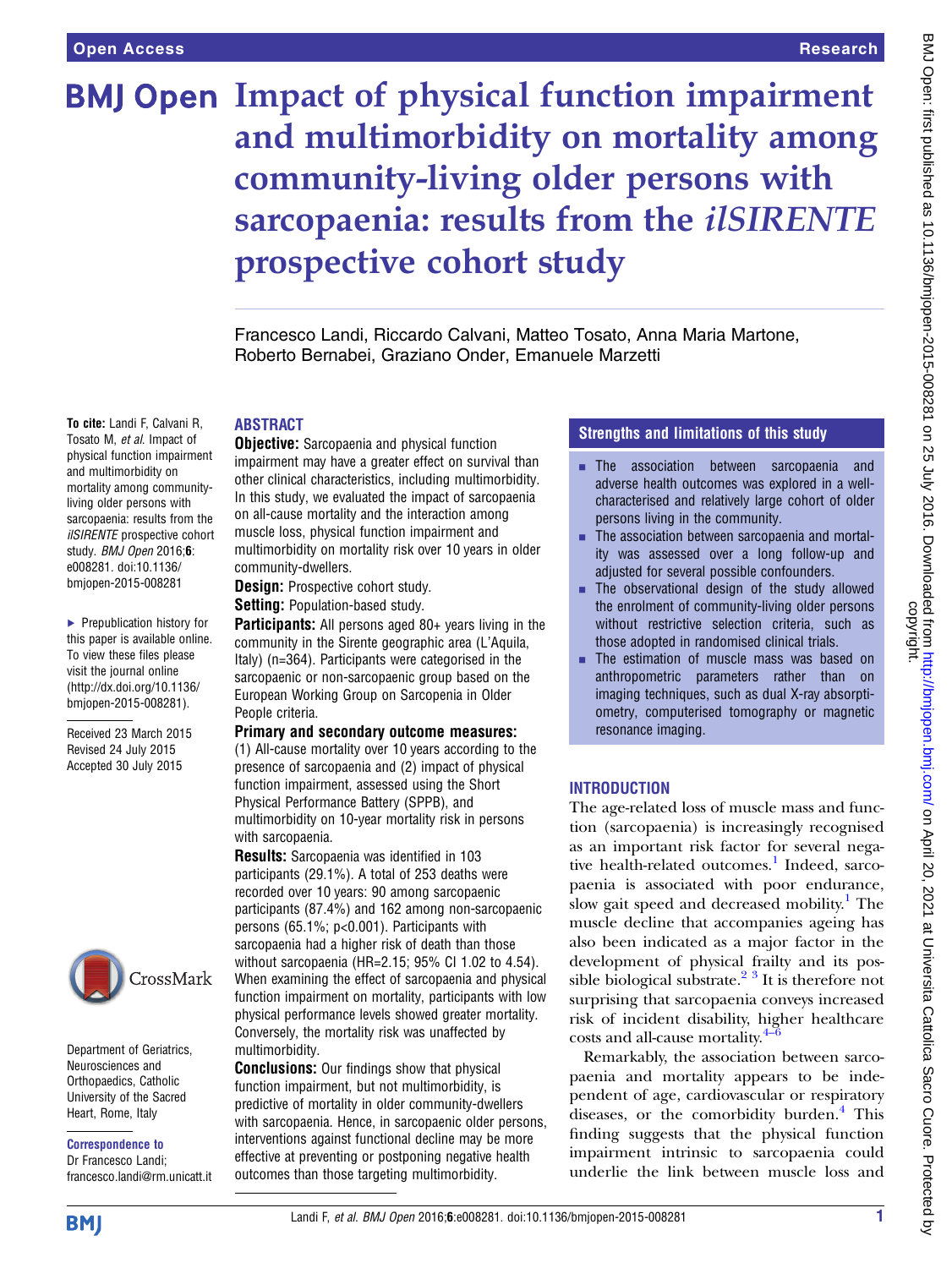# **BMJ Open Impact of physical function impairment** and multimorbidity on mortality among community-living older persons with sarcopaenia: results from the *ilSIRENTE* prospective cohort study

Francesco Landi, Riccardo Calvani, Matteo Tosato, Anna Maria Martone, Roberto Bernabei, Graziano Onder, Emanuele Marzetti

#### To cite: Landi F, Calvani R, Tosato M, et al. Impact of physical function impairment and multimorbidity on mortality among communityliving older persons with sarcopaenia: results from the ilSIRENTE prospective cohort study. BMJ Open 2016;6: e008281. doi:10.1136/

▸ Prepublication history for this paper is available online. To view these files please visit the journal online [\(http://dx.doi.org/10.1136/](http://dx.doi.org/10.1136/bmjopen-2015-008281) [bmjopen-2015-008281](http://dx.doi.org/10.1136/bmjopen-2015-008281)).

bmjopen-2015-008281

Received 23 March 2015 Revised 24 July 2015 Accepted 30 July 2015



Department of Geriatrics, Neurosciences and Orthopaedics, Catholic University of the Sacred Heart, Rome, Italy

Correspondence to Dr Francesco Landi; francesco.landi@rm.unicatt.it

# ABSTRACT

**Objective:** Sarcopaenia and physical function impairment may have a greater effect on survival than other clinical characteristics, including multimorbidity. In this study, we evaluated the impact of sarcopaenia on all-cause mortality and the interaction among muscle loss, physical function impairment and multimorbidity on mortality risk over 10 years in older community-dwellers.

**Design:** Prospective cohort study.

Setting: Population-based study.

**Participants:** All persons aged 80+ years living in the community in the Sirente geographic area (L'Aquila, Italy) (n=364). Participants were categorised in the sarcopaenic or non-sarcopaenic group based on the European Working Group on Sarcopenia in Older People criteria.

## Primary and secondary outcome measures:

(1) All-cause mortality over 10 years according to the presence of sarcopaenia and (2) impact of physical function impairment, assessed using the Short Physical Performance Battery (SPPB), and multimorbidity on 10-year mortality risk in persons with sarcopaenia.

Results: Sarcopaenia was identified in 103 participants (29.1%). A total of 253 deaths were recorded over 10 years: 90 among sarcopaenic participants (87.4%) and 162 among non-sarcopaenic persons (65.1%; p<0.001). Participants with sarcopaenia had a higher risk of death than those without sarcopaenia (HR=2.15; 95% CI 1.02 to 4.54). When examining the effect of sarcopaenia and physical function impairment on mortality, participants with low physical performance levels showed greater mortality. Conversely, the mortality risk was unaffected by multimorbidity.

**Conclusions:** Our findings show that physical function impairment, but not multimorbidity, is predictive of mortality in older community-dwellers with sarcopaenia. Hence, in sarcopaenic older persons, interventions against functional decline may be more effective at preventing or postponing negative health outcomes than those targeting multimorbidity.

## Strengths and limitations of this study

- **EXECUTE:** The association between sarcopaenia and adverse health outcomes was explored in a wellcharacterised and relatively large cohort of older persons living in the community.
- $\blacksquare$  The association between sarcopaenia and mortality was assessed over a long follow-up and adjusted for several possible confounders.
- $\blacksquare$  The observational design of the study allowed the enrolment of community-living older persons without restrictive selection criteria, such as those adopted in randomised clinical trials.
- $\blacksquare$  The estimation of muscle mass was based on anthropometric parameters rather than on imaging techniques, such as dual X-ray absorptiometry, computerised tomography or magnetic resonance imaging.

# INTRODUCTION

The age-related loss of muscle mass and function (sarcopaenia) is increasingly recognised as an important risk factor for several nega-tive health-related outcomes.<sup>[1](#page-6-0)</sup> Indeed, sarcopaenia is associated with poor endurance, slow gait speed and decreased mobility.<sup>[1](#page-6-0)</sup> The muscle decline that accompanies ageing has also been indicated as a major factor in the development of physical frailty and its possible biological substrate.<sup>2</sup> <sup>3</sup> It is therefore not surprising that sarcopaenia conveys increased risk of incident disability, [high](#page-6-0)er healthcare costs and all-cause mortality. $4-6$ 

Remarkably, the association between sarcopaenia and mortality appears to be independent of age, cardiovascular or respiratory diseases, or the comorbidity burden.<sup>[4](#page-6-0)</sup> This finding suggests that the physical function impairment intrinsic to sarcopaenia could underlie the link between muscle loss and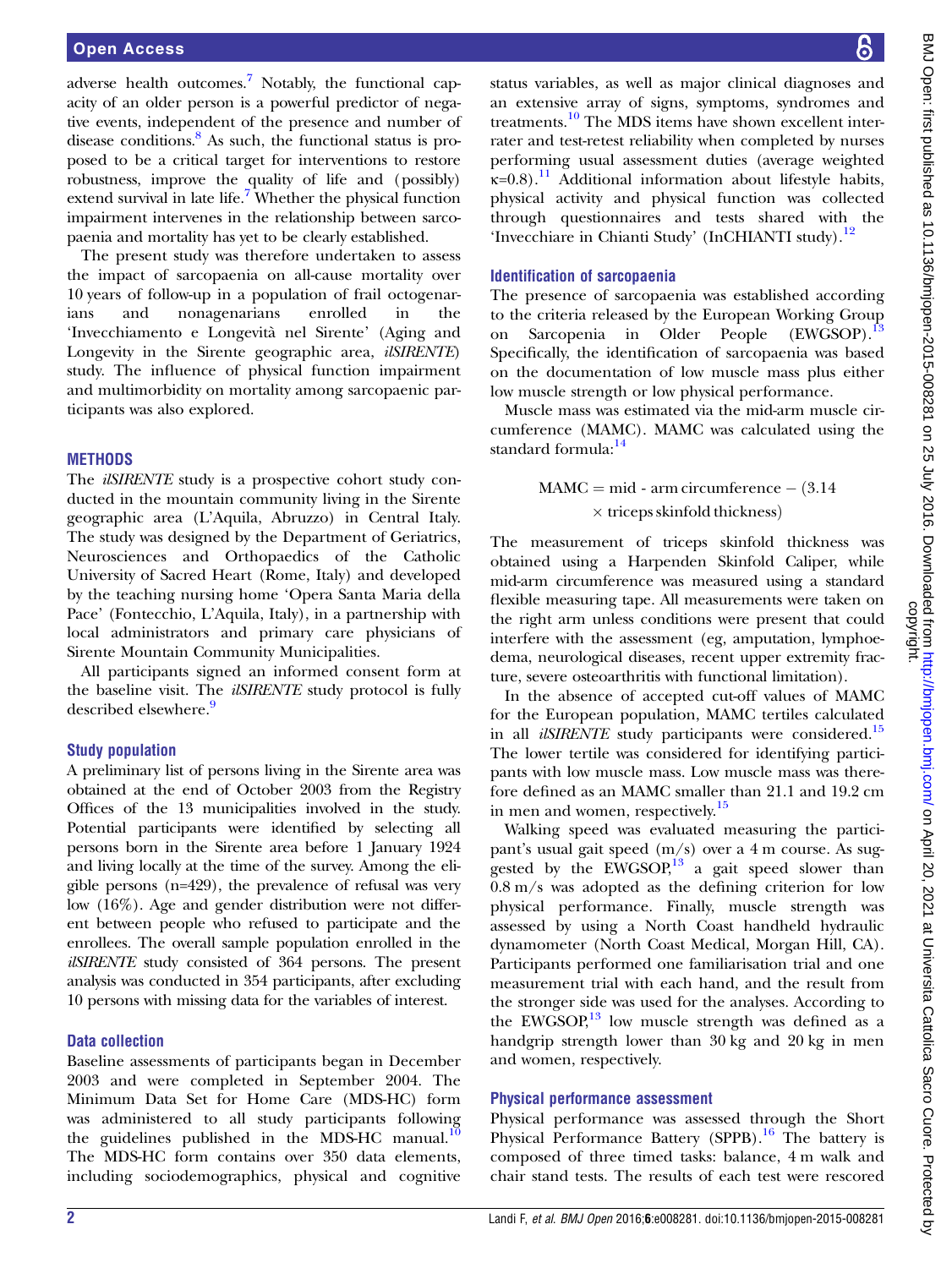adverse health outcomes.<sup>7</sup> Notably, the functional capacity of an older person is a powerful predictor of negative events, independent of the presence and number of disease conditions. $8$  As such, the functional status is proposed to be a critical target for interventions to restore robustness, improve the quality of life and (possibly) extend survival in late life.<sup>[7](#page-6-0)</sup> Whether the physical function impairment intervenes in the relationship between sarcopaenia and mortality has yet to be clearly established.

The present study was therefore undertaken to assess the impact of sarcopaenia on all-cause mortality over 10 years of follow-up in a population of frail octogenarians and nonagenarians enrolled in the 'Invecchiamento e Longevità nel Sirente' (Aging and Longevity in the Sirente geographic area, *ilSIRENTE*) study. The influence of physical function impairment and multimorbidity on mortality among sarcopaenic participants was also explored.

#### **METHODS**

The *ilSIRENTE* study is a prospective cohort study conducted in the mountain community living in the Sirente geographic area (L'Aquila, Abruzzo) in Central Italy. The study was designed by the Department of Geriatrics, Neurosciences and Orthopaedics of the Catholic University of Sacred Heart (Rome, Italy) and developed by the teaching nursing home 'Opera Santa Maria della Pace' (Fontecchio, L'Aquila, Italy), in a partnership with local administrators and primary care physicians of Sirente Mountain Community Municipalities.

All participants signed an informed consent form at the baseline visit. The *ilSIRENTE* study protocol is fully described elsewhere.<sup>9</sup>

#### Study population

A preliminary list of persons living in the Sirente area was obtained at the end of October 2003 from the Registry Offices of the 13 municipalities involved in the study. Potential participants were identified by selecting all persons born in the Sirente area before 1 January 1924 and living locally at the time of the survey. Among the eligible persons (n=429), the prevalence of refusal was very low (16%). Age and gender distribution were not different between people who refused to participate and the enrollees. The overall sample population enrolled in the ilSIRENTE study consisted of 364 persons. The present analysis was conducted in 354 participants, after excluding 10 persons with missing data for the variables of interest.

## Data collection

Baseline assessments of participants began in December 2003 and were completed in September 2004. The Minimum Data Set for Home Care (MDS-HC) form was administered to all study participants following the guidelines published in the MDS-HC manual. $10$ The MDS-HC form contains over 350 data elements, including sociodemographics, physical and cognitive

status variables, as well as major clinical diagnoses and an extensive array of signs, symptoms, syndromes and treatments.[10](#page-6-0) The MDS items have shown excellent interrater and test-retest reliability when completed by nurses performing usual assessment duties (average weighted  $k=0.8$ ).<sup>[11](#page-6-0)</sup> Additional information about lifestyle habits, physical activity and physical function was collected through questionnaires and tests shared with the 'Invecchiare in Chianti Study' (InCHIANTI study).<sup>[12](#page-6-0)</sup>

#### Identification of sarcopaenia

The presence of sarcopaenia was established according to the criteria released by the European Working Group on Sarcopenia in Older People (EWGSOP).<sup>[13](#page-6-0)</sup> Specifically, the identification of sarcopaenia was based on the documentation of low muscle mass plus either low muscle strength or low physical performance.

Muscle mass was estimated via the mid-arm muscle circumference (MAMC). MAMC was calculated using the standard formula: $14$ 

> $MAMC = mid - arm circumference - (3.14)$  $\times$  triceps skinfold thickness)

The measurement of triceps skinfold thickness was obtained using a Harpenden Skinfold Caliper, while mid-arm circumference was measured using a standard flexible measuring tape. All measurements were taken on the right arm unless conditions were present that could interfere with the assessment (eg, amputation, lymphoedema, neurological diseases, recent upper extremity fracture, severe osteoarthritis with functional limitation).

In the absence of accepted cut-off values of MAMC for the European population, MAMC tertiles calculated in all *ilSIRENTE* study participants were considered.<sup>[15](#page-6-0)</sup> The lower tertile was considered for identifying participants with low muscle mass. Low muscle mass was therefore defined as an MAMC smaller than 21.1 and 19.2 cm in men and women, respectively.<sup>15</sup>

Walking speed was evaluated measuring the participant's usual gait speed (m/s) over a 4 m course. As suggested by the  $EWGSOP<sup>13</sup>$  a gait speed slower than 0.8 m/s was adopted as the defining criterion for low physical performance. Finally, muscle strength was assessed by using a North Coast handheld hydraulic dynamometer (North Coast Medical, Morgan Hill, CA). Participants performed one familiarisation trial and one measurement trial with each hand, and the result from the stronger side was used for the analyses. According to the EWGSOP, $^{13}$  low muscle strength was defined as a handgrip strength lower than 30 kg and 20 kg in men and women, respectively.

#### Physical performance assessment

Physical performance was assessed through the Short Physical Performance Battery (SPPB).<sup>[16](#page-6-0)</sup> The battery is composed of three timed tasks: balance, 4 m walk and chair stand tests. The results of each test were rescored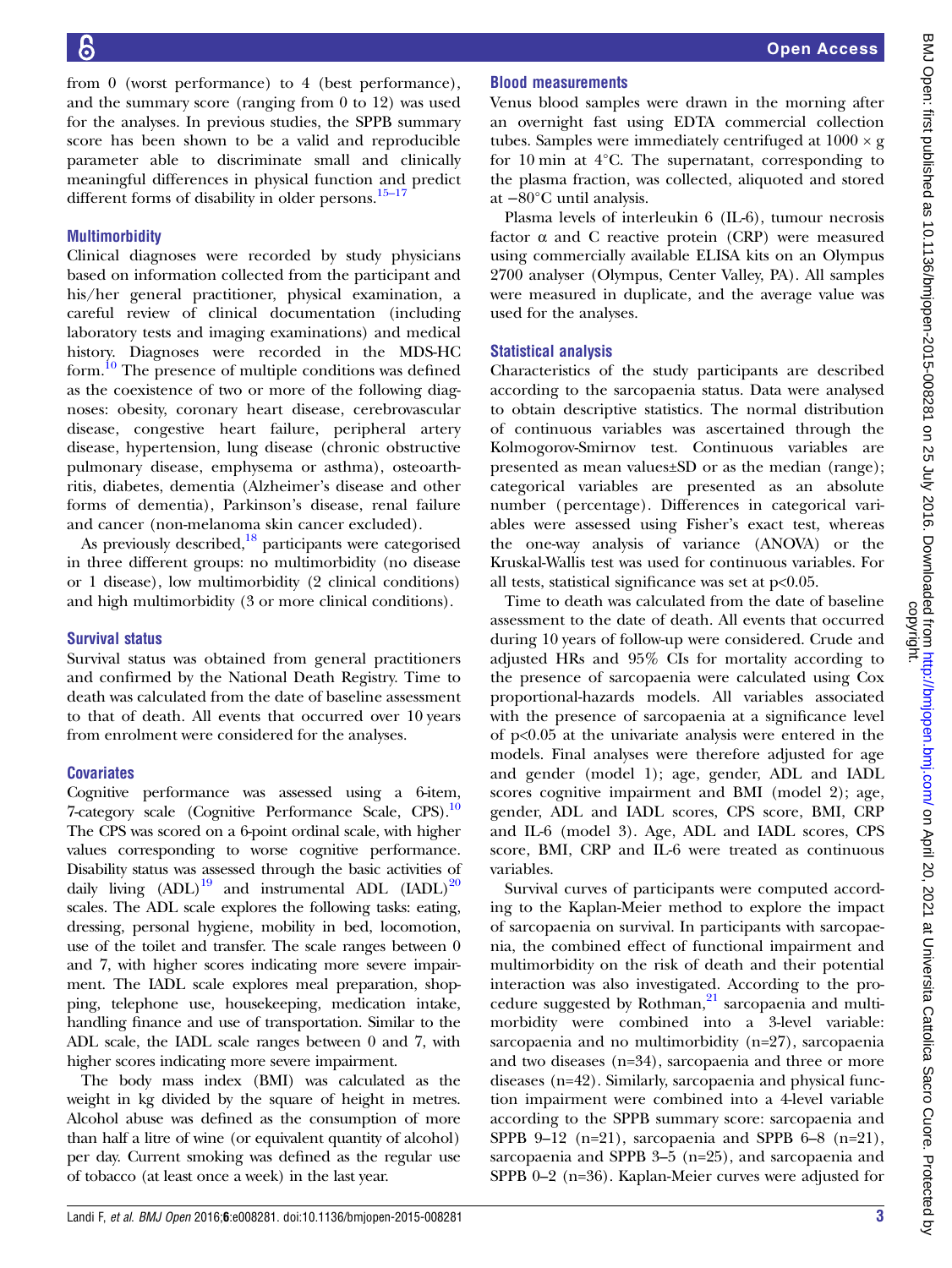from 0 (worst performance) to 4 (best performance), and the summary score (ranging from 0 to 12) was used for the analyses. In previous studies, the SPPB summary score has been shown to be a valid and reproducible parameter able to discriminate small and clinically meaningful differences in physical function and predict different forms of disability in older persons. $15-17$  $15-17$ 

## Multimorbidity

Clinical diagnoses were recorded by study physicians based on information collected from the participant and his/her general practitioner, physical examination, a careful review of clinical documentation (including laboratory tests and imaging examinations) and medical history. Diagnoses were recorded in the MDS-HC form.<sup>[10](#page-6-0)</sup> The presence of multiple conditions was defined as the coexistence of two or more of the following diagnoses: obesity, coronary heart disease, cerebrovascular disease, congestive heart failure, peripheral artery disease, hypertension, lung disease (chronic obstructive pulmonary disease, emphysema or asthma), osteoarthritis, diabetes, dementia (Alzheimer's disease and other forms of dementia), Parkinson's disease, renal failure and cancer (non-melanoma skin cancer excluded).

As previously described, $^{18}$  participants were categorised in three different groups: no multimorbidity (no disease or 1 disease), low multimorbidity (2 clinical conditions) and high multimorbidity (3 or more clinical conditions).

## Survival status

Survival status was obtained from general practitioners and confirmed by the National Death Registry. Time to death was calculated from the date of baseline assessment to that of death. All events that occurred over 10 years from enrolment were considered for the analyses.

# **Covariates**

Cognitive performance was assessed using a 6-item, 7-category scale (Cognitive Performance Scale, CPS).<sup>10</sup> The CPS was scored on a 6-point ordinal scale, with higher values corresponding to worse cognitive performance. Disability status was assessed through the basic activities of daily living  $(ADL)^{19}$  and instrumental ADL  $(BDL)^{20}$ scales. The ADL scale explores the following tasks: eating, dressing, personal hygiene, mobility in bed, locomotion, use of the toilet and transfer. The scale ranges between 0 and 7, with higher scores indicating more severe impairment. The IADL scale explores meal preparation, shopping, telephone use, housekeeping, medication intake, handling finance and use of transportation. Similar to the ADL scale, the IADL scale ranges between 0 and 7, with higher scores indicating more severe impairment.

The body mass index (BMI) was calculated as the weight in kg divided by the square of height in metres. Alcohol abuse was defined as the consumption of more than half a litre of wine (or equivalent quantity of alcohol) per day. Current smoking was defined as the regular use of tobacco (at least once a week) in the last year.

# Blood measurements

Venus blood samples were drawn in the morning after an overnight fast using EDTA commercial collection tubes. Samples were immediately centrifuged at  $1000 \times g$ for 10 min at 4°C. The supernatant, corresponding to the plasma fraction, was collected, aliquoted and stored at −80°C until analysis.

Plasma levels of interleukin 6 (IL-6), tumour necrosis factor  $\alpha$  and C reactive protein (CRP) were measured using commercially available ELISA kits on an Olympus 2700 analyser (Olympus, Center Valley, PA). All samples were measured in duplicate, and the average value was used for the analyses.

# Statistical analysis

Characteristics of the study participants are described according to the sarcopaenia status. Data were analysed to obtain descriptive statistics. The normal distribution of continuous variables was ascertained through the Kolmogorov-Smirnov test. Continuous variables are presented as mean values±SD or as the median (range); categorical variables are presented as an absolute number (percentage). Differences in categorical variables were assessed using Fisher's exact test, whereas the one-way analysis of variance (ANOVA) or the Kruskal-Wallis test was used for continuous variables. For all tests, statistical significance was set at  $p<0.05$ .

Time to death was calculated from the date of baseline assessment to the date of death. All events that occurred during 10 years of follow-up were considered. Crude and adjusted HRs and 95% CIs for mortality according to the presence of sarcopaenia were calculated using Cox proportional-hazards models. All variables associated with the presence of sarcopaenia at a significance level of p<0.05 at the univariate analysis were entered in the models. Final analyses were therefore adjusted for age and gender (model 1); age, gender, ADL and IADL scores cognitive impairment and BMI (model 2); age, gender, ADL and IADL scores, CPS score, BMI, CRP and IL-6 (model 3). Age, ADL and IADL scores, CPS score, BMI, CRP and IL-6 were treated as continuous variables.

Survival curves of participants were computed according to the Kaplan-Meier method to explore the impact of sarcopaenia on survival. In participants with sarcopaenia, the combined effect of functional impairment and multimorbidity on the risk of death and their potential interaction was also investigated. According to the procedure suggested by Rothman, $21$  sarcopaenia and multimorbidity were combined into a 3-level variable: sarcopaenia and no multimorbidity (n=27), sarcopaenia and two diseases (n=34), sarcopaenia and three or more diseases (n=42). Similarly, sarcopaenia and physical function impairment were combined into a 4-level variable according to the SPPB summary score: sarcopaenia and SPPB 9–12 (n=21), sarcopaenia and SPPB 6–8 (n=21), sarcopaenia and SPPB 3–5 (n=25), and sarcopaenia and SPPB 0–2 (n=36). Kaplan-Meier curves were adjusted for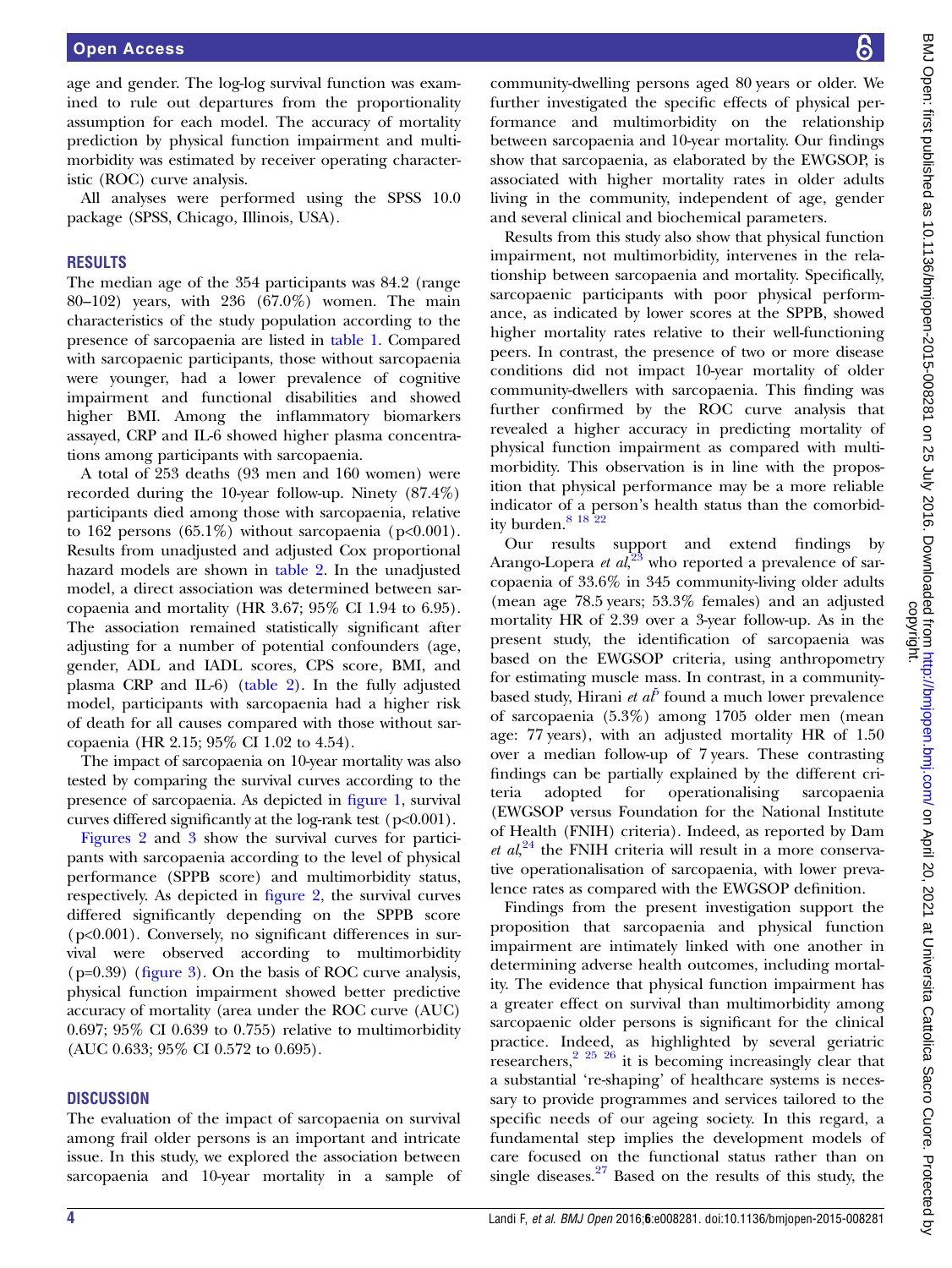age and gender. The log-log survival function was examined to rule out departures from the proportionality assumption for each model. The accuracy of mortality prediction by physical function impairment and multimorbidity was estimated by receiver operating characteristic (ROC) curve analysis.

All analyses were performed using the SPSS 10.0 package (SPSS, Chicago, Illinois, USA).

## **RESULTS**

The median age of the 354 participants was 84.2 (range 80–102) years, with 236 (67.0%) women. The main characteristics of the study population according to the presence of sarcopaenia are listed in [table 1.](#page-4-0) Compared with sarcopaenic participants, those without sarcopaenia were younger, had a lower prevalence of cognitive impairment and functional disabilities and showed higher BMI. Among the inflammatory biomarkers assayed, CRP and IL-6 showed higher plasma concentrations among participants with sarcopaenia.

A total of 253 deaths (93 men and 160 women) were recorded during the 10-year follow-up. Ninety (87.4%) participants died among those with sarcopaenia, relative to 162 persons  $(65.1\%)$  without sarcopaenia (p<0.001). Results from unadjusted and adjusted Cox proportional hazard models are shown in [table 2](#page-4-0). In the unadjusted model, a direct association was determined between sarcopaenia and mortality (HR 3.67; 95% CI 1.94 to 6.95). The association remained statistically significant after adjusting for a number of potential confounders (age, gender, ADL and IADL scores, CPS score, BMI, and plasma CRP and IL-6) ([table 2](#page-4-0)). In the fully adjusted model, participants with sarcopaenia had a higher risk of death for all causes compared with those without sarcopaenia (HR 2.15; 95% CI 1.02 to 4.54).

The impact of sarcopaenia on 10-year mortality was also tested by comparing the survival curves according to the presence of sarcopaenia. As depicted in fi[gure 1](#page-5-0), survival curves differed significantly at the log-rank test ( $p<0.001$ ).

[Figures 2](#page-5-0) and [3](#page-5-0) show the survival curves for participants with sarcopaenia according to the level of physical performance (SPPB score) and multimorbidity status, respectively. As depicted in fi[gure 2](#page-5-0), the survival curves differed significantly depending on the SPPB score (p<0.001). Conversely, no significant differences in survival were observed according to multimorbidity  $(p=0.39)$  (fi[gure 3\)](#page-5-0). On the basis of ROC curve analysis, physical function impairment showed better predictive accuracy of mortality (area under the ROC curve (AUC) 0.697; 95% CI 0.639 to 0.755) relative to multimorbidity (AUC 0.633; 95% CI 0.572 to 0.695).

#### **DISCUSSION**

The evaluation of the impact of sarcopaenia on survival among frail older persons is an important and intricate issue. In this study, we explored the association between sarcopaenia and 10-year mortality in a sample of

community-dwelling persons aged 80 years or older. We further investigated the specific effects of physical performance and multimorbidity on the relationship between sarcopaenia and 10-year mortality. Our findings show that sarcopaenia, as elaborated by the EWGSOP, is associated with higher mortality rates in older adults living in the community, independent of age, gender and several clinical and biochemical parameters.

Results from this study also show that physical function impairment, not multimorbidity, intervenes in the relationship between sarcopaenia and mortality. Specifically, sarcopaenic participants with poor physical performance, as indicated by lower scores at the SPPB, showed higher mortality rates relative to their well-functioning peers. In contrast, the presence of two or more disease conditions did not impact 10-year mortality of older community-dwellers with sarcopaenia. This finding was further confirmed by the ROC curve analysis that revealed a higher accuracy in predicting mortality of physical function impairment as compared with multimorbidity. This observation is in line with the proposition that physical performance may be a more reliable indicator of a person's health status than the comorbidity burden. $81822$ 

Our results support and extend findings by Arango-Lopera *et al*, $^{23}$  $^{23}$  $^{23}$  who reported a prevalence of sarcopaenia of 33.6% in 345 community-living older adults (mean age 78.5 years; 53.3% females) and an adjusted mortality HR of 2.39 over a 3-year follow-up. As in the present study, the identification of sarcopaenia was based on the EWGSOP criteria, using anthropometry for estimating muscle mass. In contrast, in a communitybased study, Hirani *et al*<sup> $\theta$ </sup> found a much lower prevalence of sarcopaenia (5.3%) among 1705 older men (mean age: 77 years), with an adjusted mortality HR of 1.50 over a median follow-up of 7 years. These contrasting findings can be partially explained by the different criteria adopted for operationalising sarcopaenia (EWGSOP versus Foundation for the National Institute of Health (FNIH) criteria). Indeed, as reported by Dam et  $al$ <sup>[24](#page-6-0)</sup>, the FNIH criteria will result in a more conservative operationalisation of sarcopaenia, with lower prevalence rates as compared with the EWGSOP definition.

Findings from the present investigation support the proposition that sarcopaenia and physical function impairment are intimately linked with one another in determining adverse health outcomes, including mortality. The evidence that physical function impairment has a greater effect on survival than multimorbidity among sarcopaenic older persons is significant for the clinical practice. Indeed, as highlighted by several geriatric researchers, $2^{25}$   $2^{6}$  it is becoming increasingly clear that a substantial 're-shaping' of healthcare systems is necessary to provide programmes and services tailored to the specific needs of our ageing society. In this regard, a fundamental step implies the development models of care focused on the functional status rather than on single diseases. $27$  Based on the results of this study, the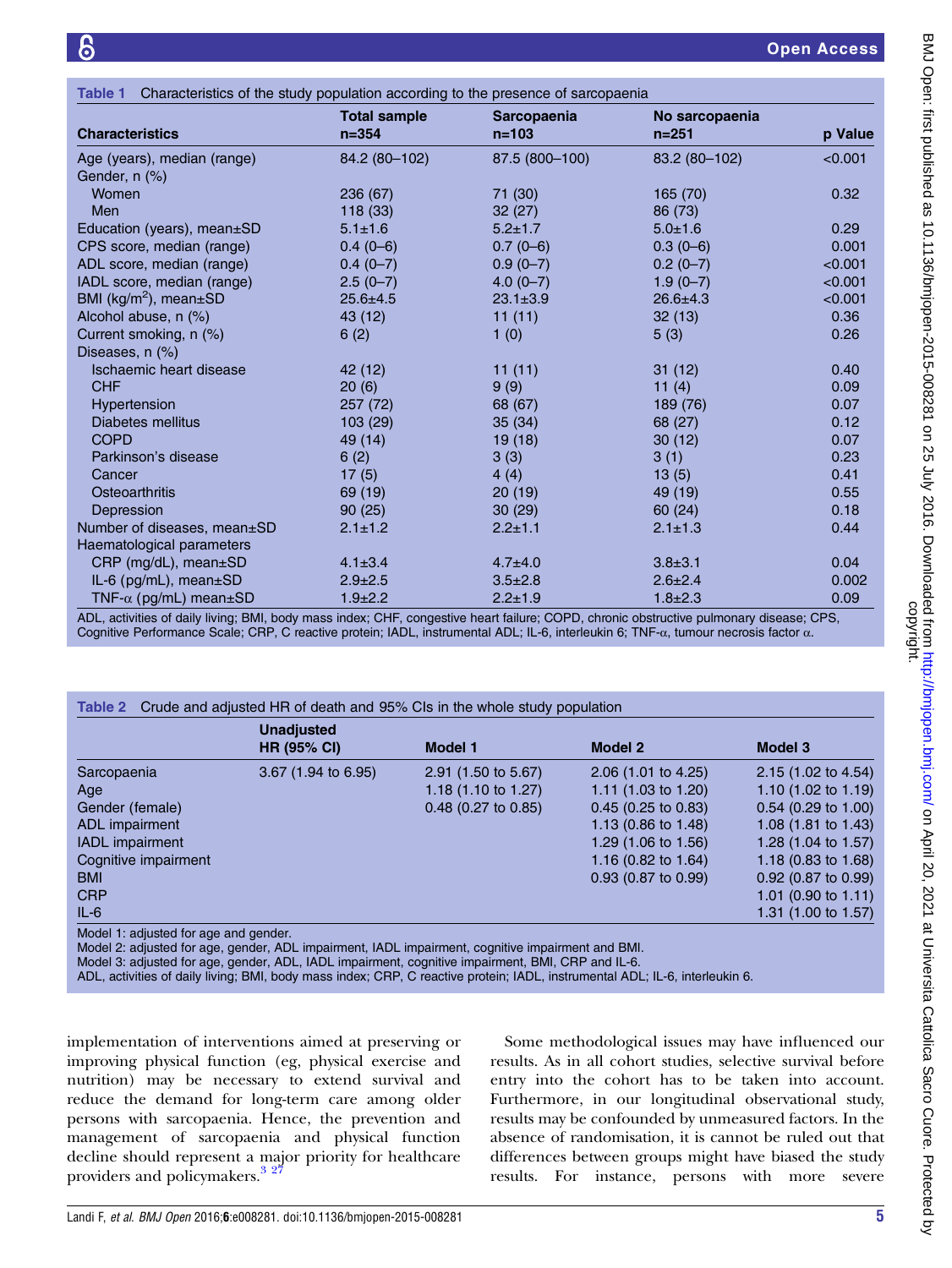<span id="page-4-0"></span>

| Characteristics of the study population according to the presence of sarcopaenia<br>Table 1 |                     |                    |                |         |  |
|---------------------------------------------------------------------------------------------|---------------------|--------------------|----------------|---------|--|
|                                                                                             | <b>Total sample</b> | <b>Sarcopaenia</b> | No sarcopaenia |         |  |
| <b>Characteristics</b>                                                                      | $n = 354$           | $n = 103$          | $n = 251$      | p Value |  |
| Age (years), median (range)                                                                 | 84.2 (80-102)       | 87.5 (800-100)     | 83.2 (80-102)  | < 0.001 |  |
| Gender, n (%)                                                                               |                     |                    |                |         |  |
| Women                                                                                       | 236 (67)            | 71 (30)            | 165 (70)       | 0.32    |  |
| Men                                                                                         | 118 (33)            | 32(27)             | 86 (73)        |         |  |
| Education (years), mean±SD                                                                  | $5.1 \pm 1.6$       | $5.2 \pm 1.7$      | $5.0 \pm 1.6$  | 0.29    |  |
| CPS score, median (range)                                                                   | $0.4(0-6)$          | $0.7(0-6)$         | $0.3(0-6)$     | 0.001   |  |
| ADL score, median (range)                                                                   | $0.4(0-7)$          | $0.9(0-7)$         | $0.2(0-7)$     | < 0.001 |  |
| IADL score, median (range)                                                                  | $2.5(0-7)$          | $4.0(0 - 7)$       | $1.9(0-7)$     | < 0.001 |  |
| BMI ( $kg/m^2$ ), mean $\pm$ SD                                                             | $25.6 \pm 4.5$      | $23.1 \pm 3.9$     | $26.6 \pm 4.3$ | < 0.001 |  |
| Alcohol abuse, n (%)                                                                        | 43 (12)             | 11(11)             | 32(13)         | 0.36    |  |
| Current smoking, n (%)                                                                      | 6(2)                | 1(0)               | 5(3)           | 0.26    |  |
| Diseases, n (%)                                                                             |                     |                    |                |         |  |
| Ischaemic heart disease                                                                     | 42 (12)             | 11(11)             | 31(12)         | 0.40    |  |
| <b>CHF</b>                                                                                  | 20(6)               | 9(9)               | 11(4)          | 0.09    |  |
| Hypertension                                                                                | 257(72)             | 68 (67)            | 189 (76)       | 0.07    |  |
| Diabetes mellitus                                                                           | 103 (29)            | 35(34)             | 68 (27)        | 0.12    |  |
| <b>COPD</b>                                                                                 | 49 (14)             | 19(18)             | 30(12)         | 0.07    |  |
| Parkinson's disease                                                                         | 6(2)                | 3(3)               | 3(1)           | 0.23    |  |
| Cancer                                                                                      | 17(5)               | 4(4)               | 13(5)          | 0.41    |  |
| Osteoarthritis                                                                              | 69 (19)             | 20(19)             | 49 (19)        | 0.55    |  |
| Depression                                                                                  | 90(25)              | 30(29)             | 60(24)         | 0.18    |  |
| Number of diseases, mean±SD                                                                 | $2.1 \pm 1.2$       | $2.2 \pm 1.1$      | $2.1 \pm 1.3$  | 0.44    |  |
| Haematological parameters                                                                   |                     |                    |                |         |  |
| CRP (mg/dL), mean±SD                                                                        | $4.1 \pm 3.4$       | $4.7 + 4.0$        | $3.8 + 3.1$    | 0.04    |  |
| IL-6 (pg/mL), mean±SD                                                                       | $2.9 \pm 2.5$       | $3.5 \pm 2.8$      | $2.6 \pm 2.4$  | 0.002   |  |
| TNF- $\alpha$ (pg/mL) mean $\pm$ SD                                                         | $1.9 \pm 2.2$       | $2.2 \pm 1.9$      | $1.8 \pm 2.3$  | 0.09    |  |

ADL, activities of daily living; BMI, body mass index; CHF, congestive heart failure; COPD, chronic obstructive pulmonary disease; CPS, Cognitive Performance Scale; CRP, C reactive protein; IADL, instrumental ADL; IL-6, interleukin 6; TNF-α, tumour necrosis factor α.

|                        | <b>Unadjusted</b><br><b>HR (95% CI)</b> | <b>Model 1</b>                 | <b>Model 2</b>                 | <b>Model 3</b>                 |
|------------------------|-----------------------------------------|--------------------------------|--------------------------------|--------------------------------|
| Sarcopaenia            | $3.67$ (1.94 to 6.95)                   | 2.91 (1.50 to 5.67)            | $2.06$ (1.01 to 4.25)          | 2.15 (1.02 to 4.54)            |
| Age                    |                                         | 1.18 $(1.10 \text{ to } 1.27)$ | 1.11 $(1.03 \text{ to } 1.20)$ | 1.10 $(1.02 \text{ to } 1.19)$ |
| Gender (female)        |                                         | $0.48$ (0.27 to 0.85)          | $0.45$ (0.25 to 0.83)          | $0.54$ (0.29 to 1.00)          |
| ADL impairment         |                                         |                                | 1.13 (0.86 to 1.48)            | 1.08 $(1.81 \text{ to } 1.43)$ |
| <b>IADL</b> impairment |                                         |                                | 1.29 (1.06 to 1.56)            | 1.28 $(1.04 \text{ to } 1.57)$ |
| Cognitive impairment   |                                         |                                | 1.16 $(0.82 \text{ to } 1.64)$ | 1.18 (0.83 to 1.68)            |
| <b>BMI</b>             |                                         |                                | 0.93 (0.87 to 0.99)            | 0.92 (0.87 to 0.99)            |
| <b>CRP</b>             |                                         |                                |                                | 1.01 (0.90 to 1.11)            |
| $IL-6$                 |                                         |                                |                                | 1.31 $(1.00 \text{ to } 1.57)$ |

Model 3: adjusted for age, gender, ADL, IADL impairment, cognitive impairment, BMI, CRP and IL-6.

ADL, activities of daily living; BMI, body mass index; CRP, C reactive protein; IADL, instrumental ADL; IL-6, interleukin 6.

implementation of interventions aimed at preserving or improving physical function (eg, physical exercise and nutrition) may be necessary to extend survival and reduce the demand for long-term care among older persons with sarcopaenia. Hence, the prevention and management of sarcopaenia and physical function decline should represent a major priority for healthcare providers and policymakers.<sup>3</sup><sup>27</sup>

Some methodological issues may have influenced our results. As in all cohort studies, selective survival before entry into the cohort has to be taken into account. Furthermore, in our longitudinal observational study, results may be confounded by unmeasured factors. In the absence of randomisation, it is cannot be ruled out that differences between groups might have biased the study results. For instance, persons with more severe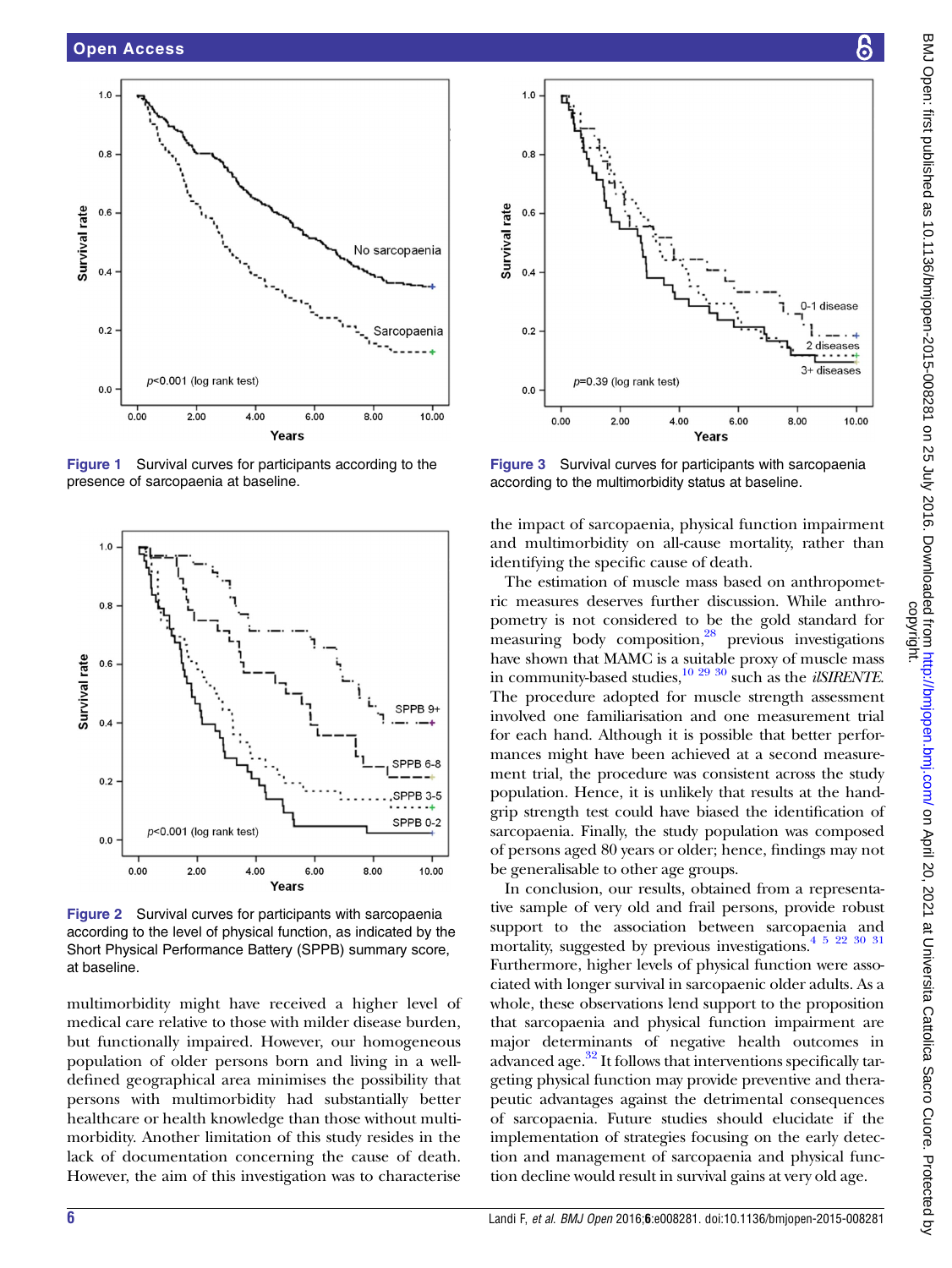<span id="page-5-0"></span>

Figure 1 Survival curves for participants according to the presence of sarcopaenia at baseline.



Figure 2 Survival curves for participants with sarcopaenia according to the level of physical function, as indicated by the Short Physical Performance Battery (SPPB) summary score, at baseline.

multimorbidity might have received a higher level of medical care relative to those with milder disease burden, but functionally impaired. However, our homogeneous population of older persons born and living in a welldefined geographical area minimises the possibility that persons with multimorbidity had substantially better healthcare or health knowledge than those without multimorbidity. Another limitation of this study resides in the lack of documentation concerning the cause of death. However, the aim of this investigation was to characterise



Figure 3 Survival curves for participants with sarcopaenia according to the multimorbidity status at baseline.

Years

the impact of sarcopaenia, physical function impairment and multimorbidity on all-cause mortality, rather than identifying the specific cause of death.

The estimation of muscle mass based on anthropometric measures deserves further discussion. While anthropometry is not considered to be the gold standard for measuring body composition, $^{28}$  $^{28}$  $^{28}$  previous investigations have shown that MAMC is a suitable proxy of muscle mass in community-based studies, $\frac{10\ 29\ 30}{10\ 29\ 30}$  such as the *ilSIRENTE*. The procedure adopted for muscle strength assessment involved one familiarisation and one measurement trial for each hand. Although it is possible that better performances might have been achieved at a second measurement trial, the procedure was consistent across the study population. Hence, it is unlikely that results at the handgrip strength test could have biased the identification of sarcopaenia. Finally, the study population was composed of persons aged 80 years or older; hence, findings may not be generalisable to other age groups.

In conclusion, our results, obtained from a representative sample of very old and frail persons, provide robust support to the association between sarcopaenia and mortality, suggested by previous investigations[.4 5 22 30 31](#page-6-0) Furthermore, higher levels of physical function were associated with longer survival in sarcopaenic older adults. As a whole, these observations lend support to the proposition that sarcopaenia and physical function impairment are major determinants of negative health outcomes in advanced age. $32$  It follows that interventions specifically targeting physical function may provide preventive and therapeutic advantages against the detrimental consequences of sarcopaenia. Future studies should elucidate if the implementation of strategies focusing on the early detection and management of sarcopaenia and physical function decline would result in survival gains at very old age.